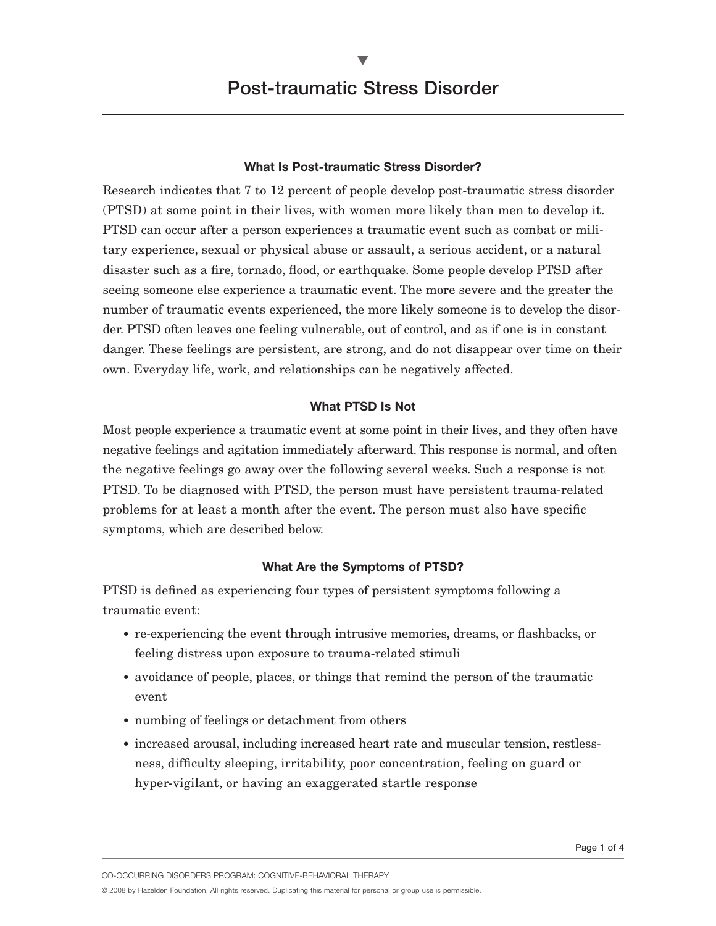## **What Is Post-traumatic Stress Disorder?**

Research indicates that 7 to 12 percent of people develop post-traumatic stress disorder (PTSD) at some point in their lives, with women more likely than men to develop it. PTSD can occur after a person experiences a traumatic event such as combat or military experience, sexual or physical abuse or assault, a serious accident, or a natural disaster such as a fire, tornado, flood, or earthquake. Some people develop PTSD after seeing someone else experience a traumatic event. The more severe and the greater the number of traumatic events experienced, the more likely someone is to develop the disorder. PTSD often leaves one feeling vulnerable, out of control, and as if one is in constant danger. These feelings are persistent, are strong, and do not disappear over time on their own. Everyday life, work, and relationships can be negatively affected.

### **What PTSD Is Not**

Most people experience a traumatic event at some point in their lives, and they often have negative feelings and agitation immediately afterward. This response is normal, and often the negative feelings go away over the following several weeks. Such a response is not PTSD. To be diagnosed with PTSD, the person must have persistent trauma-related problems for at least a month after the event. The person must also have specific symptoms, which are described below.

## **What Are the Symptoms of PTSD?**

PTSD is defined as experiencing four types of persistent symptoms following a traumatic event:

- re-experiencing the event through intrusive memories, dreams, or flashbacks, or feeling distress upon exposure to trauma-related stimuli
- avoidance of people, places, or things that remind the person of the traumatic event
- numbing of feelings or detachment from others
- increased arousal, including increased heart rate and muscular tension, restlessness, difficulty sleeping, irritability, poor concentration, feeling on guard or hyper-vigilant, or having an exaggerated startle response

CO-OCCURRING DISORDERS PROGRAM: COGNITIVE-BEHAVIORAL THERAPY

© 2008 by Hazelden Foundation. All rights reserved. Duplicating this material for personal or group use is permissible.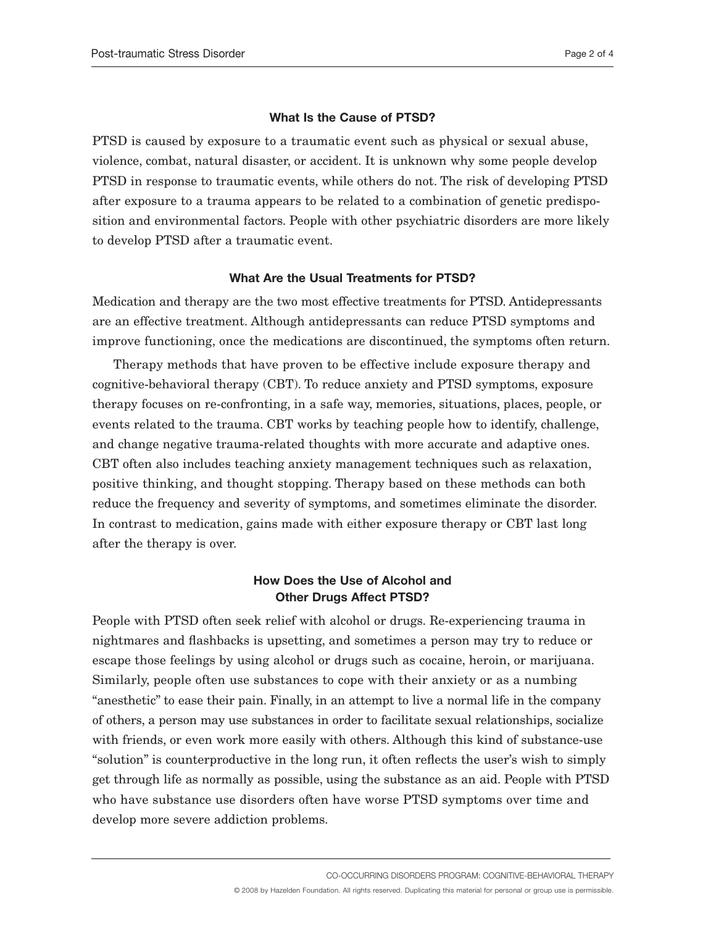#### **What Is the Cause of PTSD?**

PTSD is caused by exposure to a traumatic event such as physical or sexual abuse, violence, combat, natural disaster, or accident. It is unknown why some people develop PTSD in response to traumatic events, while others do not. The risk of developing PTSD after exposure to a trauma appears to be related to a combination of genetic predisposition and environmental factors. People with other psychiatric disorders are more likely to develop PTSD after a traumatic event.

#### **What Are the Usual Treatments for PTSD?**

Medication and therapy are the two most effective treatments for PTSD. Antidepressants are an effective treatment. Although antidepressants can reduce PTSD symptoms and improve functioning, once the medications are discontinued, the symptoms often return.

Therapy methods that have proven to be effective include exposure therapy and cognitive-behavioral therapy (CBT). To reduce anxiety and PTSD symptoms, exposure therapy focuses on re-confronting, in a safe way, memories, situations, places, people, or events related to the trauma. CBT works by teaching people how to identify, challenge, and change negative trauma-related thoughts with more accurate and adaptive ones. CBT often also includes teaching anxiety management techniques such as relaxation, positive thinking, and thought stopping. Therapy based on these methods can both reduce the frequency and severity of symptoms, and sometimes eliminate the disorder. In contrast to medication, gains made with either exposure therapy or CBT last long after the therapy is over.

# **How Does the Use of Alcohol and Other Drugs Affect PTSD?**

People with PTSD often seek relief with alcohol or drugs. Re-experiencing trauma in nightmares and flashbacks is upsetting, and sometimes a person may try to reduce or escape those feelings by using alcohol or drugs such as cocaine, heroin, or marijuana. Similarly, people often use substances to cope with their anxiety or as a numbing "anesthetic" to ease their pain. Finally, in an attempt to live a normal life in the company of others, a person may use substances in order to facilitate sexual relationships, socialize with friends, or even work more easily with others. Although this kind of substance-use "solution" is counterproductive in the long run, it often reflects the user's wish to simply get through life as normally as possible, using the substance as an aid. People with PTSD who have substance use disorders often have worse PTSD symptoms over time and develop more severe addiction problems.

CO-OCCURRING DISORDERS PROGRAM: COGNITIVE-BEHAVIORAL THERAPY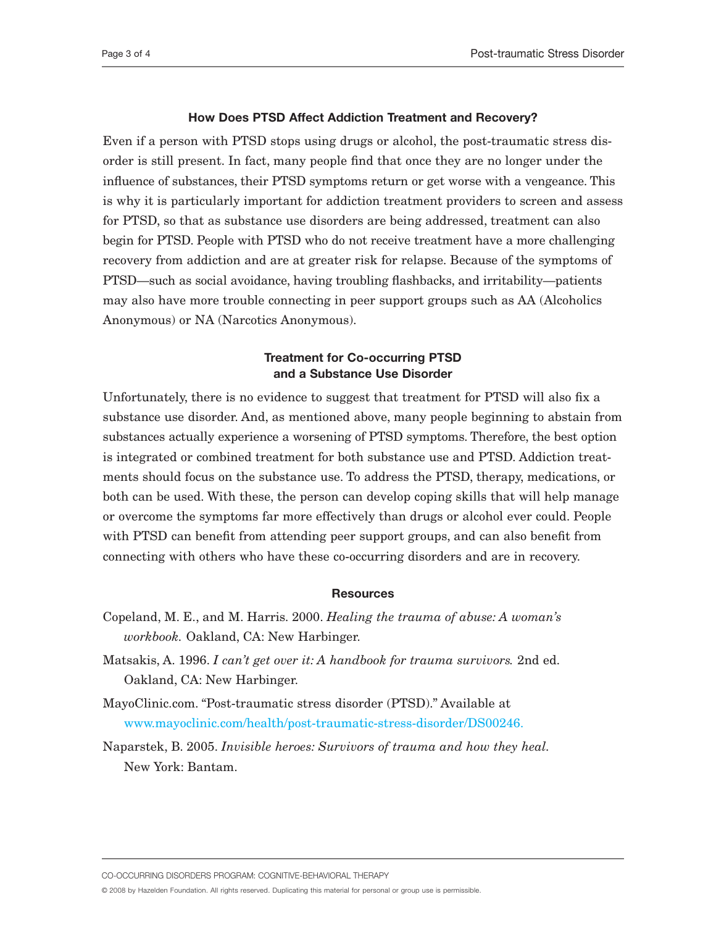#### **How Does PTSD Affect Addiction Treatment and Recovery?**

Even if a person with PTSD stops using drugs or alcohol, the post-traumatic stress disorder is still present. In fact, many people find that once they are no longer under the influence of substances, their PTSD symptoms return or get worse with a vengeance. This is why it is particularly important for addiction treatment providers to screen and assess for PTSD, so that as substance use disorders are being addressed, treatment can also begin for PTSD. People with PTSD who do not receive treatment have a more challenging recovery from addiction and are at greater risk for relapse. Because of the symptoms of PTSD—such as social avoidance, having troubling flashbacks, and irritability—patients may also have more trouble connecting in peer support groups such as AA (Alcoholics Anonymous) or NA (Narcotics Anonymous).

## **Treatment for Co-occurring PTSD and a Substance Use Disorder**

Unfortunately, there is no evidence to suggest that treatment for PTSD will also fix a substance use disorder. And, as mentioned above, many people beginning to abstain from substances actually experience a worsening of PTSD symptoms. Therefore, the best option is integrated or combined treatment for both substance use and PTSD. Addiction treatments should focus on the substance use. To address the PTSD, therapy, medications, or both can be used. With these, the person can develop coping skills that will help manage or overcome the symptoms far more effectively than drugs or alcohol ever could. People with PTSD can benefit from attending peer support groups, and can also benefit from connecting with others who have these co-occurring disorders and are in recovery.

#### **Resources**

- Copeland, M. E., and M. Harris. 2000. *Healing the trauma of abuse: A woman's workbook.* Oakland, CA: New Harbinger.
- Matsakis, A. 1996. *I can't get over it: A handbook for trauma survivors.* 2nd ed. Oakland, CA: New Harbinger.
- MayoClinic.com. "Post-traumatic stress disorder (PTSD)." Available at [www.mayoclinic.com/health/post-traumatic-stress-disorder/DS00246.](www.mayoclinic.com/health/post-traumatic-stress-disorder/DS00246)
- Naparstek, B. 2005. *Invisible heroes: Survivors of trauma and how they heal.* New York: Bantam.

CO-OCCURRING DISORDERS PROGRAM: COGNITIVE-BEHAVIORAL THERAPY

© 2008 by Hazelden Foundation. All rights reserved. Duplicating this material for personal or group use is permissible.